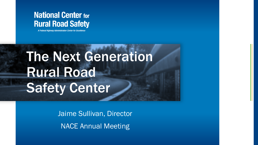#### **National Center for Rural Road Safety**

A Federal Highway Administration Center for Excellence

## The Next Generation Rural Road Safety Center

Jaime Sullivan, Director NACE Annual Meeting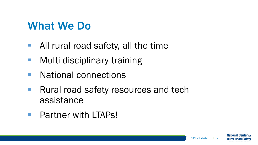#### What We Do

- All rural road safety, all the time
- **Multi-disciplinary training**
- National connections
- **Rural road safety resources and tech** assistance
- **Partner with LTAPs!**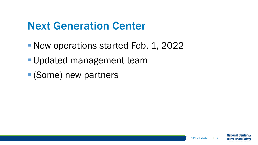#### Next Generation Center

- New operations started Feb. 1, 2022
- **Updated management team**
- (Some) new partners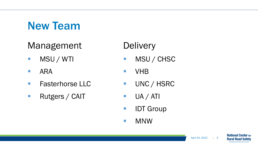## New Team

#### Management

- **MSU / WTI**
- **ARA**
- **Fasterhorse LLC**
- **Rutgers / CAIT**

#### **Delivery**

- **MSU/CHSC**
- **No. 12**
- UNC / HSRC
- $\blacksquare$  UA / ATI
- **IDT Group**
- **NNW**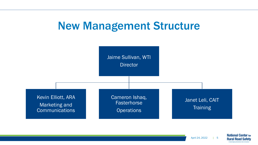#### New Management Structure



April 24, 2022 | 5

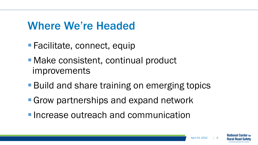#### Where We're Headed

- Facilitate, connect, equip
- Make consistent, continual product improvements
- Build and share training on emerging topics
- **Grow partnerships and expand network**
- **Increase outreach and communication**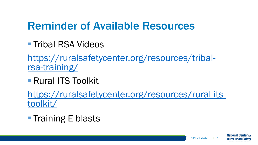## Reminder of Available Resources

■ Tribal RSA Videos

[https://ruralsafetycenter.org/resources/tribal-](https://ruralsafetycenter.org/resources/tribal-rsa-training/)<br>rsa-training/

■ Rural ITS Toolkit

[https://ruralsafetycenter.org/resources/rural-its-](https://ruralsafetycenter.org/resources/rural-its-toolkit/)<br>toolkit/

**Training E-blasts** 

National Cen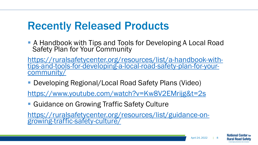#### Recently Released Products

■ A Handbook with Tips and Tools for Developing A Local Road Safety Plan for Your Community

https://ruralsafetycenter.org/resources/list/a-handbook-with- [tips-and-tools-for-developing-a-local-road-safety-plan-for-your-](https://ruralsafetycenter.org/resources/list/a-handbook-with-tips-and-tools-for-developing-a-local-road-safety-plan-for-your-community/) community/

■ Developing Regional/Local Road Safety Plans (Video)

<https://www.youtube.com/watch?v=Kw8V2EMrijg&t=2s>

**Guidance on Growing Traffic Safety Culture** 

[https://ruralsafetycenter.org/resources/list/guidance-on-](https://ruralsafetycenter.org/resources/list/guidance-on-growing-traffic-safety-culture/)<br>growing-traffic-safety-culture/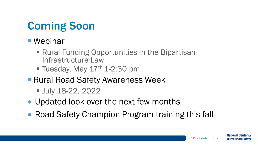## Coming Soon

#### ■ Webinar

- Rural Funding Opportunities in the Bipartisan Infrastructure Law
- $\blacksquare$  Tuesday, May  $17<sup>th</sup> 1-2:30$  pm
- **Rural Road Safety Awareness Week** 
	- **July 18-22, 2022**
- Updated look over the next few months
- Road Safety Champion Program training this fall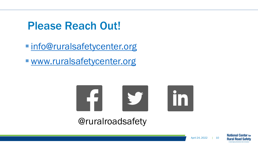## Please Reach Out!

**Info@ruralsafetycenter.org** 

[www.ruralsafetycenter.org](http://www.ruralsafetycenter.org/)



#### @ruralroadsafety